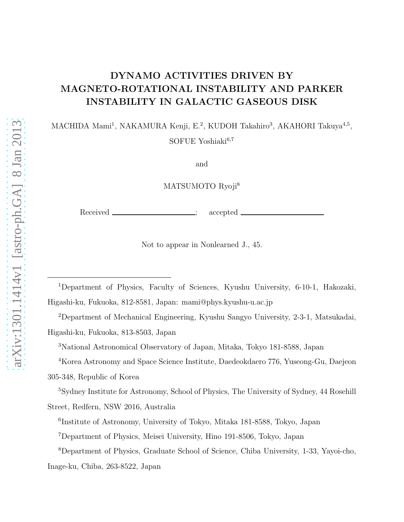# DYNAMO ACTIVITIES DRIVEN BY MAGNETO-ROTATIONAL INSTABILITY AND PARKER INSTABILITY IN GALACTIC GASEOUS DISK

MACHIDA Mami<sup>1</sup>, NAKAMURA Kenji, E.<sup>2</sup>, KUDOH Takahiro<sup>3</sup>, AKAHORI Takuya<sup>4,5</sup>, SOFUE Yoshiaki<sup>6,7</sup>

and

MATSUMOTO Ryoji<sup>8</sup>

Received \_\_\_\_\_\_\_\_\_\_\_\_\_\_\_\_\_\_; accepted

Not to appear in Nonlearned J., 45.

<sup>1</sup>Department of Physics, Faculty of Sciences, Kyushu University, 6-10-1, Hakozaki, Higashi-ku, Fukuoka, 812-8581, Japan: mami@phys.kyushu-u.ac.jp

<sup>2</sup>Department of Mechanical Engineering, Kyushu Sangyo University, 2-3-1, Matsukadai, Higashi-ku, Fukuoka, 813-8503, Japan

<sup>3</sup>National Astronomical Observatory of Japan, Mitaka, Tokyo 181-8588, Japan

<sup>4</sup>Korea Astronomy and Space Science Institute, Daedeokdaero 776, Yuseong-Gu, Daejeon 305-348, Republic of Korea

<sup>5</sup>Sydney Institute for Astronomy, School of Physics, The University of Sydney, 44 Rosehill Street, Redfern, NSW 2016, Australia

6 Institute of Astronomy, University of Tokyo, Mitaka 181-8588, Tokyo, Japan

<sup>7</sup>Department of Physics, Meisei University, Hino 191-8506, Tokyo, Japan

<sup>8</sup>Department of Physics, Graduate School of Science, Chiba University, 1-33, Yayoi-cho, Inage-ku, Chiba, 263-8522, Japan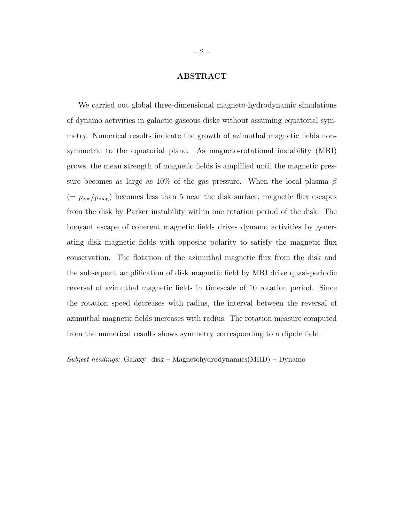# ABSTRACT

We carried out global three-dimensional magneto-hydrodynamic simulations of dynamo activities in galactic gaseous disks without assuming equatorial symmetry. Numerical results indicate the growth of azimuthal magnetic fields nonsymmetric to the equatorial plane. As magneto-rotational instability (MRI) grows, the mean strength of magnetic fields is amplified until the magnetic pressure becomes as large as 10% of the gas pressure. When the local plasma  $\beta$  $(= p_{\text{gas}}/p_{\text{mag}})$  becomes less than 5 near the disk surface, magnetic flux escapes from the disk by Parker instability within one rotation period of the disk. The buoyant escape of coherent magnetic fields drives dynamo activities by generating disk magnetic fields with opposite polarity to satisfy the magnetic flux conservation. The flotation of the azimuthal magnetic flux from the disk and the subsequent amplification of disk magnetic field by MRI drive quasi-periodic reversal of azimuthal magnetic fields in timescale of 10 rotation period. Since the rotation speed decreases with radius, the interval between the reversal of azimuthal magnetic fields increases with radius. The rotation measure computed from the numerical results shows symmetry corresponding to a dipole field.

 $Subject\ headings:$  Galaxy: disk – Magnetohydrodynamics(MHD) – Dynamo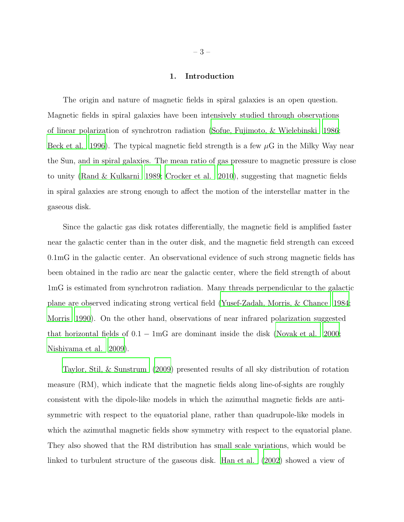# 1. Introduction

The origin and nature of magnetic fields in spiral galaxies is an open question. Magnetic fields in spiral galaxies have been intensively studied through observations of linear polarization of synchrotron radiation [\(Sofue, Fujimoto, &](#page-19-0) Wielebinski [1986](#page-19-0); [Beck et al. 1996](#page-17-0)). The typical magnetic field strength is a few  $\mu$ G in the Milky Way near the Sun, and in spiral galaxies. The mean ratio of gas pressure to magnetic pressure is close to unity [\(Rand & Kulkarni 1989](#page-18-0); [Crocker et al. 2010\)](#page-17-1), suggesting that magnetic fields in spiral galaxies are strong enough to affect the motion of the interstellar matter in the gaseous disk.

Since the galactic gas disk rotates differentially, the magnetic field is amplified faster near the galactic center than in the outer disk, and the magnetic field strength can exceed 0.1mG in the galactic center. An observational evidence of such strong magnetic fields has been obtained in the radio arc near the galactic center, where the field strength of about 1mG is estimated from synchrotron radiation. Many threads perpendicular to the galactic plane are observed indicating strong vertical field (Yusef-Zadah, [Morris, & Chance 1984;](#page-19-1) [Morris 1990\)](#page-18-1). On the other hand, observations of near infrared polarization suggested that horizontal fields of  $0.1 - 1$ mG are dominant inside the disk [\(Novak et al. 2000](#page-18-2); [Nishiyama et al. 2009](#page-18-3)).

[Taylor, Stil, & Sunstrum \(2009\)](#page-19-2) presented results of all sky distribution of rotation measure (RM), which indicate that the magnetic fields along line-of-sights are roughly consistent with the dipole-like models in which the azimuthal magnetic fields are antisymmetric with respect to the equatorial plane, rather than quadrupole-like models in which the azimuthal magnetic fields show symmetry with respect to the equatorial plane. They also showed that the RM distribution has small scale variations, which would be linked to turbulent structure of the gaseous disk. [Han et al. \(2002\)](#page-17-2) showed a view of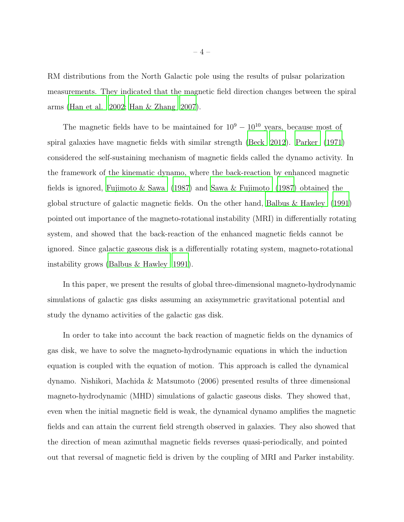RM distributions from the North Galactic pole using the results of pulsar polarization measurements. They indicated that the magnetic field direction changes between the spiral arms [\(Han et al. 2002;](#page-17-2) [Han & Zhang 2007](#page-17-3)).

The magnetic fields have to be maintained for  $10^9 - 10^{10}$  years, because most of spiral galaxies have magnetic fields with similar strength [\(Beck 2012](#page-17-4)). [Parker \(1971](#page-18-4)) considered the self-sustaining mechanism of magnetic fields called the dynamo activity. In the framework of the kinematic dynamo, where the back-reaction by enhanced magnetic fields is ignored, [Fujimoto & Sawa \(1987\)](#page-18-5) and [Sawa & Fujimoto \(1987](#page-19-3)) obtained the global structure of galactic magnetic fields. On the other hand, [Balbus & Hawley \(1991\)](#page-17-5) pointed out importance of the magneto-rotational instability (MRI) in differentially rotating system, and showed that the back-reaction of the enhanced magnetic fields cannot be ignored. Since galactic gaseous disk is a differentially rotating system, magneto-rotational instability grows [\(Balbus & Hawley 1991](#page-17-5)).

In this paper, we present the results of global three-dimensional magneto-hydrodynamic simulations of galactic gas disks assuming an axisymmetric gravitational potential and study the dynamo activities of the galactic gas disk.

In order to take into account the back reaction of magnetic fields on the dynamics of gas disk, we have to solve the magneto-hydrodynamic equations in which the induction equation is coupled with the equation of motion. This approach is called the dynamical dynamo. Nishikori, Machida & Matsumoto (2006) presented results of three dimensional magneto-hydrodynamic (MHD) simulations of galactic gaseous disks. They showed that, even when the initial magnetic field is weak, the dynamical dynamo amplifies the magnetic fields and can attain the current field strength observed in galaxies. They also showed that the direction of mean azimuthal magnetic fields reverses quasi-periodically, and pointed out that reversal of magnetic field is driven by the coupling of MRI and Parker instability.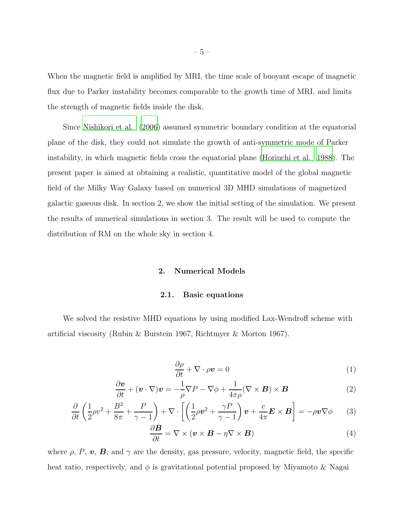When the magnetic field is amplified by MRI, the time scale of buoyant escape of magnetic flux due to Parker instability becomes comparable to the growth time of MRI, and limits the strength of magnetic fields inside the disk.

Since [Nishikori et al. \(2006\)](#page-18-6) assumed symmetric boundary condition at the equatorial plane of the disk, they could not simulate the growth of anti-symmetric mode of Parker instability, in which magnetic fields cross the equatorial plane [\(Horiuchi et al. 1988\)](#page-17-6). The present paper is aimed at obtaining a realistic, quantitative model of the global magnetic field of the Milky Way Galaxy based on numerical 3D MHD simulations of magnetized galactic gaseous disk. In section 2, we show the initial setting of the simulation. We present the results of numerical simulations in section 3. The result will be used to compute the distribution of RM on the whole sky in section 4.

#### 2. Numerical Models

#### 2.1. Basic equations

We solved the resistive MHD equations by using modified Lax-Wendroff scheme with artificial viscosity (Rubin & Burstein 1967, Richtmyer & Morton 1967).

$$
\frac{\partial \rho}{\partial t} + \nabla \cdot \rho \mathbf{v} = 0 \tag{1}
$$

$$
\frac{\partial \boldsymbol{v}}{\partial t} + (\boldsymbol{v} \cdot \nabla) \boldsymbol{v} = -\frac{1}{\rho} \nabla P - \nabla \phi + \frac{1}{4\pi \rho} (\nabla \times \boldsymbol{B}) \times \boldsymbol{B}
$$
(2)

$$
\frac{\partial}{\partial t} \left( \frac{1}{2} \rho v^2 + \frac{B^2}{8\pi} + \frac{P}{\gamma - 1} \right) + \nabla \cdot \left[ \left( \frac{1}{2} \rho v^2 + \frac{\gamma P}{\gamma - 1} \right) v + \frac{c}{4\pi} E \times B \right] = -\rho v \nabla \phi \qquad (3)
$$

$$
\frac{\partial \mathbf{B}}{\partial t} = \nabla \times (\mathbf{v} \times \mathbf{B} - \eta \nabla \times \mathbf{B}) \tag{4}
$$

where  $\rho$ ,  $P$ ,  $\boldsymbol{v}$ ,  $\boldsymbol{B}$ , and  $\gamma$  are the density, gas pressure, velocity, magnetic field, the specific heat ratio, respectively, and  $\phi$  is gravitational potential proposed by Miyamoto & Nagai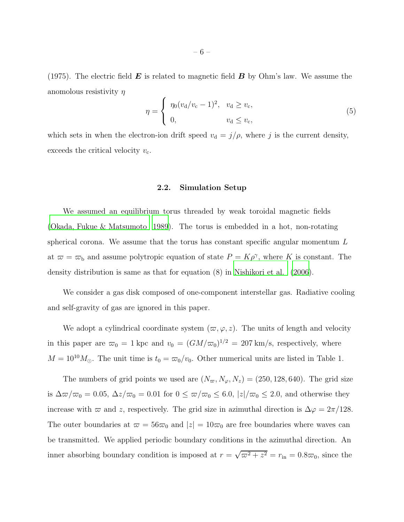(1975). The electric field  $\bm{E}$  is related to magnetic field  $\bm{B}$  by Ohm's law. We assume the anomolous resistivity  $\eta$ 

$$
\eta = \begin{cases} \eta_0 (v_d/v_c - 1)^2, & v_d \ge v_c, \\ 0, & v_d \le v_c, \end{cases}
$$
(5)

which sets in when the electron-ion drift speed  $v_d = j/\rho$ , where j is the current density, exceeds the critical velocity  $v_{c}$ .

#### 2.2. Simulation Setup

We assumed an equilibrium torus threaded by weak toroidal magnetic fields [\(Okada, Fukue & Matsumoto 1989](#page-18-7)). The torus is embedded in a hot, non-rotating spherical corona. We assume that the torus has constant specific angular momentum L at  $\bar{\omega} = \bar{\omega}_b$  and assume polytropic equation of state  $P = K\rho^{\gamma}$ , where K is constant. The density distribution is same as that for equation (8) in [Nishikori et al.](#page-18-6) [\(2006](#page-18-6)).

We consider a gas disk composed of one-component interstellar gas. Radiative cooling and self-gravity of gas are ignored in this paper.

We adopt a cylindrical coordinate system  $(\varpi, \varphi, z)$ . The units of length and velocity in this paper are  $\overline{\omega}_0 = 1$  kpc and  $v_0 = (GM/\overline{\omega}_0)^{1/2} = 207$  km/s, respectively, where  $M = 10^{10} M_{\odot}$ . The unit time is  $t_0 = \frac{\varpi_0}{v_0}$ . Other numerical units are listed in Table 1.

The numbers of grid points we used are  $(N_{\varpi}, N_{\varphi}, N_z) = (250, 128, 640)$ . The grid size is  $\Delta\varpi/\varpi_0 = 0.05$ ,  $\Delta z/\varpi_0 = 0.01$  for  $0 \le \varpi/\varpi_0 \le 6.0$ ,  $|z|/\varpi_0 \le 2.0$ , and otherwise they increase with  $\varpi$  and z, respectively. The grid size in azimuthal direction is  $\Delta \varphi = 2\pi/128$ . The outer boundaries at  $\varpi = 56\varpi_0$  and  $|z| = 10\varpi_0$  are free boundaries where waves can be transmitted. We applied periodic boundary conditions in the azimuthal direction. An inner absorbing boundary condition is imposed at  $r = \sqrt{\omega^2 + z^2} = r_{\text{in}} = 0.8\omega_0$ , since the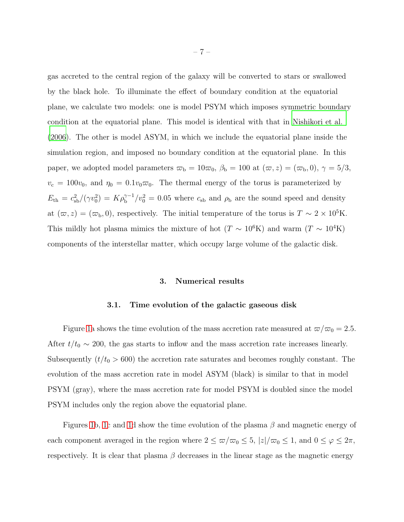gas accreted to the central region of the galaxy will be converted to stars or swallowed by the black hole. To illuminate the effect of boundary condition at the equatorial plane, we calculate two models: one is model PSYM which imposes symmetric boundary condition at the equatorial plane. This model is identical with that in [Nishikori et al.](#page-18-6) [\(2006\)](#page-18-6). The other is model ASYM, in which we include the equatorial plane inside the simulation region, and imposed no boundary condition at the equatorial plane. In this paper, we adopted model parameters  $\omega_{\rm b} = 10\omega_0$ ,  $\beta_{\rm b} = 100$  at  $(\omega, z) = (\omega_{\rm b}, 0)$ ,  $\gamma = 5/3$ ,  $v_c = 100v_0$ , and  $\eta_0 = 0.1v_0\varpi_0$ . The thermal energy of the torus is parameterized by  $E_{\text{th}} = c_{\text{sb}}^2/(\gamma v_0^2) = K \rho_b^{\gamma - 1}/v_0^2 = 0.05$  where  $c_{\text{sb}}$  and  $\rho_{\text{b}}$  are the sound speed and density at  $(\varpi, z) = (\varpi_{\rm b}, 0)$ , respectively. The initial temperature of the torus is  $T \sim 2 \times 10^5$ K. This mildly hot plasma mimics the mixture of hot ( $T \sim 10^6$ K) and warm ( $T \sim 10^4$ K) components of the interstellar matter, which occupy large volume of the galactic disk.

#### 3. Numerical results

#### 3.1. Time evolution of the galactic gaseous disk

Figure [1a](#page-20-0) shows the time evolution of the mass accretion rate measured at  $\omega/\omega_0 = 2.5$ . After  $t/t_0 \sim 200$ , the gas starts to inflow and the mass accretion rate increases linearly. Subsequently  $(t/t_0 > 600)$  the accretion rate saturates and becomes roughly constant. The evolution of the mass accretion rate in model ASYM (black) is similar to that in model PSYM (gray), where the mass accretion rate for model PSYM is doubled since the model PSYM includes only the region above the equatorial plane.

Figures [1b](#page-20-0), [1c](#page-20-0) and [1d](#page-20-0) show the time evolution of the plasma  $\beta$  and magnetic energy of each component averaged in the region where  $2 \le \frac{\omega}{\omega_0} \le 5$ ,  $|z|/\omega_0 \le 1$ , and  $0 \le \varphi \le 2\pi$ , respectively. It is clear that plasma  $\beta$  decreases in the linear stage as the magnetic energy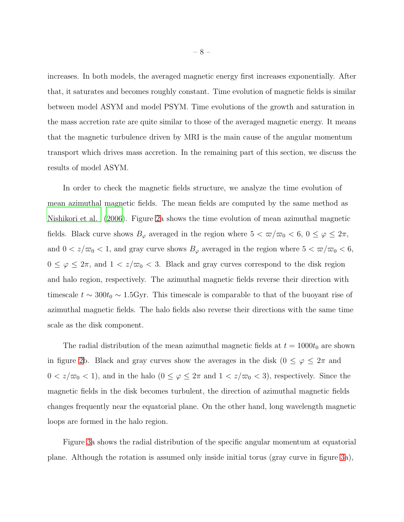increases. In both models, the averaged magnetic energy first increases exponentially. After that, it saturates and becomes roughly constant. Time evolution of magnetic fields is similar between model ASYM and model PSYM. Time evolutions of the growth and saturation in the mass accretion rate are quite similar to those of the averaged magnetic energy. It means that the magnetic turbulence driven by MRI is the main cause of the angular momentum transport which drives mass accretion. In the remaining part of this section, we discuss the results of model ASYM.

In order to check the magnetic fields structure, we analyze the time evolution of mean azimuthal magnetic fields. The mean fields are computed by the same method as [Nishikori et al. \(2006](#page-18-6)). Figure [2a](#page-21-0) shows the time evolution of mean azimuthal magnetic fields. Black curve shows  $B_{\varphi}$  averaged in the region where  $5 < \varpi/\varpi_0 < 6$ ,  $0 \le \varphi \le 2\pi$ , and  $0 < z/\varpi_0 < 1$ , and gray curve shows  $B_{\varphi}$  averaged in the region where  $5 < \varpi/\varpi_0 < 6$ ,  $0 \leq \varphi \leq 2\pi$ , and  $1 < z/\varpi_0 < 3$ . Black and gray curves correspond to the disk region and halo region, respectively. The azimuthal magnetic fields reverse their direction with timescale  $t \sim 300t_0 \sim 1.5$  Gyr. This timescale is comparable to that of the buoyant rise of azimuthal magnetic fields. The halo fields also reverse their directions with the same time scale as the disk component.

The radial distribution of the mean azimuthal magnetic fields at  $t = 1000t_0$  are shown in figure [2b](#page-21-0). Black and gray curves show the averages in the disk ( $0 \le \varphi \le 2\pi$  and  $0 < z/\varpi_0 < 1$ , and in the halo  $(0 \le \varphi \le 2\pi$  and  $1 < z/\varpi_0 < 3$ , respectively. Since the magnetic fields in the disk becomes turbulent, the direction of azimuthal magnetic fields changes frequently near the equatorial plane. On the other hand, long wavelength magnetic loops are formed in the halo region.

Figure [3a](#page-22-0) shows the radial distribution of the specific angular momentum at equatorial plane. Although the rotation is assumed only inside initial torus (gray curve in figure [3a](#page-22-0)),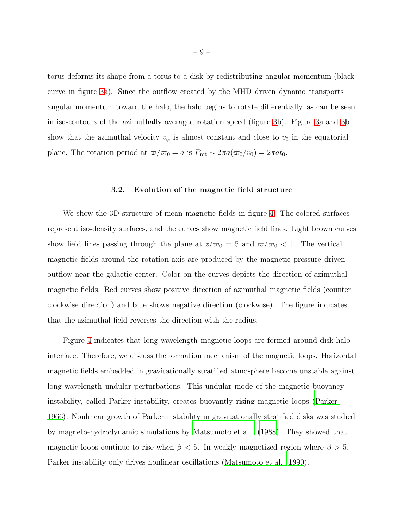torus deforms its shape from a torus to a disk by redistributing angular momentum (black curve in figure [3a](#page-22-0)). Since the outflow created by the MHD driven dynamo transports angular momentum toward the halo, the halo begins to rotate differentially, as can be seen in iso-contours of the azimuthally averaged rotation speed (figure [3b](#page-22-0)). Figure [3a](#page-22-0) and [3b](#page-22-0) show that the azimuthal velocity  $v_{\varphi}$  is almost constant and close to  $v_0$  in the equatorial plane. The rotation period at  $\varpi/\varpi_0 = a$  is  $P_{\rm rot} \sim 2\pi a(\varpi_0/v_0) = 2\pi a t_0$ .

# 3.2. Evolution of the magnetic field structure

We show the 3D structure of mean magnetic fields in figure [4.](#page-23-0) The colored surfaces represent iso-density surfaces, and the curves show magnetic field lines. Light brown curves show field lines passing through the plane at  $z/\overline{\omega}_0 = 5$  and  $\overline{\omega}/\overline{\omega}_0 < 1$ . The vertical magnetic fields around the rotation axis are produced by the magnetic pressure driven outflow near the galactic center. Color on the curves depicts the direction of azimuthal magnetic fields. Red curves show positive direction of azimuthal magnetic fields (counter clockwise direction) and blue shows negative direction (clockwise). The figure indicates that the azimuthal field reverses the direction with the radius.

Figure [4](#page-23-0) indicates that long wavelength magnetic loops are formed around disk-halo interface. Therefore, we discuss the formation mechanism of the magnetic loops. Horizontal magnetic fields embedded in gravitationally stratified atmosphere become unstable against long wavelength undular perturbations. This undular mode of the magnetic buoyancy instability, called Parker instability, creates buoyantly rising magnetic loops [\(Parker](#page-18-8) [1966\)](#page-18-8). Nonlinear growth of Parker instability in gravitationally stratified disks was studied by magneto-hydrodynamic simulations by [Matsumoto et al. \(1988\)](#page-18-9). They showed that magnetic loops continue to rise when  $\beta$  < 5. In weakly magnetized region where  $\beta > 5$ , Parker instability only drives nonlinear oscillations [\(Matsumoto et al. 1990](#page-18-10)).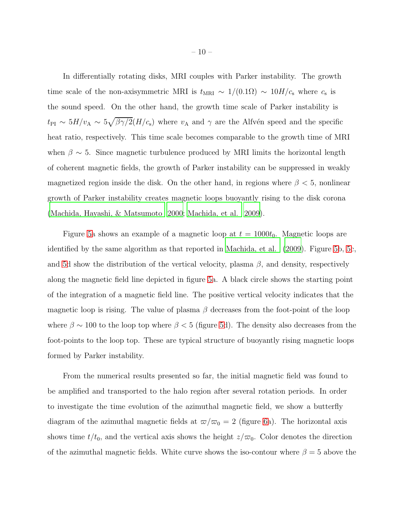In differentially rotating disks, MRI couples with Parker instability. The growth time scale of the non-axisymmetric MRI is  $t_{\text{MRI}} \sim 1/(0.1\Omega) \sim 10H/c_{\text{s}}$  where  $c_{\text{s}}$  is the sound speed. On the other hand, the growth time scale of Parker instability is  $t_{\text{PI}} \sim 5H/v_A \sim 5\sqrt{\beta\gamma/2}(H/c_s)$  where  $v_A$  and  $\gamma$  are the Alfvén speed and the specific heat ratio, respectively. This time scale becomes comparable to the growth time of MRI when  $\beta \sim 5$ . Since magnetic turbulence produced by MRI limits the horizontal length of coherent magnetic fields, the growth of Parker instability can be suppressed in weakly magnetized region inside the disk. On the other hand, in regions where  $\beta < 5$ , nonlinear growth of Parker instability creates magnetic loops buoyantly rising to the disk corona [\(Machida, Hayashi, & Matsumoto 2000](#page-17-7); [Machida, et al. 2009\)](#page-17-8).

Figure [5a](#page-24-0) shows an example of a magnetic loop at  $t = 1000t_0$ . Magnetic loops are identified by the same algorithm as that reported in [Machida, et al. \(2009](#page-17-8)). Figure [5b](#page-24-0), [5c](#page-24-0), and [5d](#page-24-0) show the distribution of the vertical velocity, plasma  $\beta$ , and density, respectively along the magnetic field line depicted in figure [5a](#page-24-0). A black circle shows the starting point of the integration of a magnetic field line. The positive vertical velocity indicates that the magnetic loop is rising. The value of plasma  $\beta$  decreases from the foot-point of the loop where  $\beta \sim 100$  to the loop top where  $\beta < 5$  (figure [5d](#page-24-0)). The density also decreases from the foot-points to the loop top. These are typical structure of buoyantly rising magnetic loops formed by Parker instability.

From the numerical results presented so far, the initial magnetic field was found to be amplified and transported to the halo region after several rotation periods. In order to investigate the time evolution of the azimuthal magnetic field, we show a butterfly diagram of the azimuthal magnetic fields at  $\varpi/\varpi_0 = 2$  (figure [6a](#page-25-0)). The horizontal axis shows time  $t/t_0$ , and the vertical axis shows the height  $z/\overline{\omega}_0$ . Color denotes the direction of the azimuthal magnetic fields. White curve shows the iso-contour where  $\beta = 5$  above the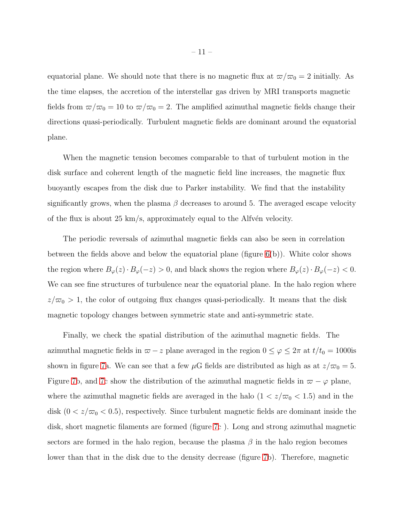equatorial plane. We should note that there is no magnetic flux at  $\omega/\omega_0 = 2$  initially. As the time elapses, the accretion of the interstellar gas driven by MRI transports magnetic fields from  $\omega/\omega_0 = 10$  to  $\omega/\omega_0 = 2$ . The amplified azimuthal magnetic fields change their directions quasi-periodically. Turbulent magnetic fields are dominant around the equatorial plane.

When the magnetic tension becomes comparable to that of turbulent motion in the disk surface and coherent length of the magnetic field line increases, the magnetic flux buoyantly escapes from the disk due to Parker instability. We find that the instability significantly grows, when the plasma  $\beta$  decreases to around 5. The averaged escape velocity of the flux is about 25 km/s, approximately equal to the Alfvén velocity.

The periodic reversals of azimuthal magnetic fields can also be seen in correlation between the fields above and below the equatorial plane (figure  $6(b)$ ). White color shows the region where  $B_{\varphi}(z) \cdot B_{\varphi}(-z) > 0$ , and black shows the region where  $B_{\varphi}(z) \cdot B_{\varphi}(-z) < 0$ . We can see fine structures of turbulence near the equatorial plane. In the halo region where  $z/\overline{\omega}_0 > 1$ , the color of outgoing flux changes quasi-periodically. It means that the disk magnetic topology changes between symmetric state and anti-symmetric state.

Finally, we check the spatial distribution of the azimuthal magnetic fields. The azimuthal magnetic fields in  $\varpi - z$  plane averaged in the region  $0 \le \varphi \le 2\pi$  at  $t/t_0 = 1000$ is shown in figure [7a](#page-26-0). We can see that a few  $\mu$ G fields are distributed as high as at  $z/\overline{\omega}_0 = 5$ . Figure [7b](#page-26-0), and [7c](#page-26-0) show the distribution of the azimuthal magnetic fields in  $\varpi - \varphi$  plane, where the azimuthal magnetic fields are averaged in the halo  $(1 < z/\varpi_0 < 1.5)$  and in the disk  $(0 < z/\varpi_0 < 0.5)$ , respectively. Since turbulent magnetic fields are dominant inside the disk, short magnetic filaments are formed (figure [7c](#page-26-0) ). Long and strong azimuthal magnetic sectors are formed in the halo region, because the plasma  $\beta$  in the halo region becomes lower than that in the disk due to the density decrease (figure [7b](#page-26-0)). Therefore, magnetic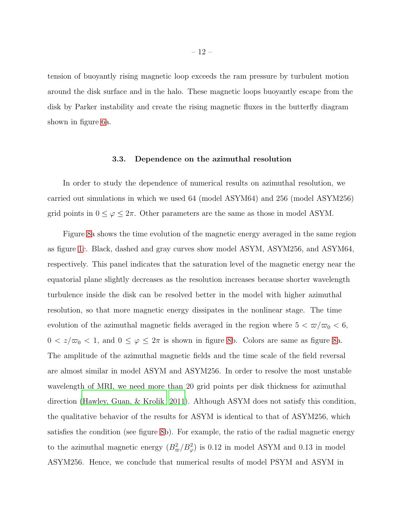tension of buoyantly rising magnetic loop exceeds the ram pressure by turbulent motion around the disk surface and in the halo. These magnetic loops buoyantly escape from the disk by Parker instability and create the rising magnetic fluxes in the butterfly diagram shown in figure [6a](#page-25-0).

# 3.3. Dependence on the azimuthal resolution

In order to study the dependence of numerical results on azimuthal resolution, we carried out simulations in which we used 64 (model ASYM64) and 256 (model ASYM256) grid points in  $0 \le \varphi \le 2\pi$ . Other parameters are the same as those in model ASYM.

Figure [8a](#page-27-0) shows the time evolution of the magnetic energy averaged in the same region as figure [1c](#page-20-0). Black, dashed and gray curves show model ASYM, ASYM256, and ASYM64, respectively. This panel indicates that the saturation level of the magnetic energy near the equatorial plane slightly decreases as the resolution increases because shorter wavelength turbulence inside the disk can be resolved better in the model with higher azimuthal resolution, so that more magnetic energy dissipates in the nonlinear stage. The time evolution of the azimuthal magnetic fields averaged in the region where  $5 < \frac{\pi}{\infty} < 6$ ,  $0 < z/\varpi_0 < 1$ , and  $0 \le \varphi \le 2\pi$  is shown in figure [8b](#page-27-0). Colors are same as figure [8a](#page-27-0). The amplitude of the azimuthal magnetic fields and the time scale of the field reversal are almost similar in model ASYM and ASYM256. In order to resolve the most unstable wavelength of MRI, we need more than 20 grid points per disk thickness for azimuthal direction [\(Hawley, Guan, & Krolik 2011](#page-17-9)). Although ASYM does not satisfy this condition, the qualitative behavior of the results for ASYM is identical to that of ASYM256, which satisfies the condition (see figure [8b](#page-27-0)). For example, the ratio of the radial magnetic energy to the azimuthal magnetic energy  $(B_{\varpi}^2/B_{\varphi}^2)$  is 0.12 in model ASYM and 0.13 in model ASYM256. Hence, we conclude that numerical results of model PSYM and ASYM in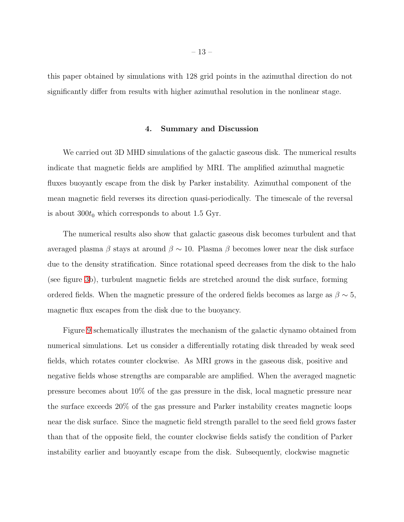this paper obtained by simulations with 128 grid points in the azimuthal direction do not significantly differ from results with higher azimuthal resolution in the nonlinear stage.

# 4. Summary and Discussion

We carried out 3D MHD simulations of the galactic gaseous disk. The numerical results indicate that magnetic fields are amplified by MRI. The amplified azimuthal magnetic fluxes buoyantly escape from the disk by Parker instability. Azimuthal component of the mean magnetic field reverses its direction quasi-periodically. The timescale of the reversal is about  $300t_0$  which corresponds to about 1.5 Gyr.

The numerical results also show that galactic gaseous disk becomes turbulent and that averaged plasma β stays at around  $β \sim 10$ . Plasma β becomes lower near the disk surface due to the density stratification. Since rotational speed decreases from the disk to the halo (see figure [3b](#page-22-0)), turbulent magnetic fields are stretched around the disk surface, forming ordered fields. When the magnetic pressure of the ordered fields becomes as large as  $\beta \sim 5$ , magnetic flux escapes from the disk due to the buoyancy.

Figure [9](#page-28-0) schematically illustrates the mechanism of the galactic dynamo obtained from numerical simulations. Let us consider a differentially rotating disk threaded by weak seed fields, which rotates counter clockwise. As MRI grows in the gaseous disk, positive and negative fields whose strengths are comparable are amplified. When the averaged magnetic pressure becomes about 10% of the gas pressure in the disk, local magnetic pressure near the surface exceeds 20% of the gas pressure and Parker instability creates magnetic loops near the disk surface. Since the magnetic field strength parallel to the seed field grows faster than that of the opposite field, the counter clockwise fields satisfy the condition of Parker instability earlier and buoyantly escape from the disk. Subsequently, clockwise magnetic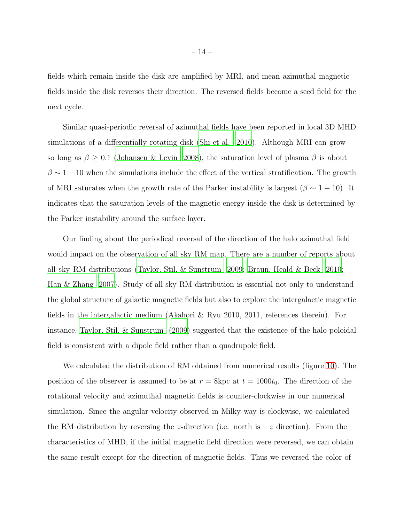fields which remain inside the disk are amplified by MRI, and mean azimuthal magnetic fields inside the disk reverses their direction. The reversed fields become a seed field for the next cycle.

Similar quasi-periodic reversal of azimuthal fields have been reported in local 3D MHD simulations of a differentially rotating disk [\(Shi et al. 2010\)](#page-19-4). Although MRI can grow so long as  $\beta \geq 0.1$  [\(Johansen & Levin 2008](#page-19-5)), the saturation level of plasma  $\beta$  is about  $\beta \sim 1 - 10$  when the simulations include the effect of the vertical stratification. The growth of MRI saturates when the growth rate of the Parker instability is largest ( $\beta \sim 1 - 10$ ). It indicates that the saturation levels of the magnetic energy inside the disk is determined by the Parker instability around the surface layer.

Our finding about the periodical reversal of the direction of the halo azimuthal field would impact on the observation of all sky RM map. There are a number of reports about all sky RM distributions [\(Taylor, Stil, & Sunstrum 2009;](#page-19-2) [Braun, Heald](#page-17-10) & Beck [2010;](#page-17-10) [Han & Zhang 2007](#page-17-3)). Study of all sky RM distribution is essential not only to understand the global structure of galactic magnetic fields but also to explore the intergalactic magnetic fields in the intergalactic medium (Akahori & Ryu 2010, 2011, references therein). For instance, [Taylor, Stil, & Sunstrum \(2009\)](#page-19-2) suggested that the existence of the halo poloidal field is consistent with a dipole field rather than a quadrupole field.

We calculated the distribution of RM obtained from numerical results (figure [10\)](#page-29-0). The position of the observer is assumed to be at  $r = 8kpc$  at  $t = 1000t<sub>0</sub>$ . The direction of the rotational velocity and azimuthal magnetic fields is counter-clockwise in our numerical simulation. Since the angular velocity observed in Milky way is clockwise, we calculated the RM distribution by reversing the z-direction (i.e. north is  $-z$  direction). From the characteristics of MHD, if the initial magnetic field direction were reversed, we can obtain the same result except for the direction of magnetic fields. Thus we reversed the color of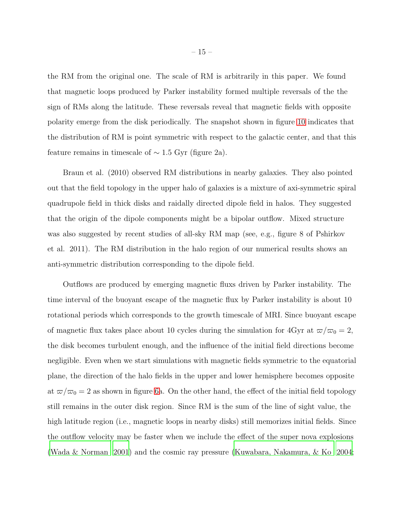the RM from the original one. The scale of RM is arbitrarily in this paper. We found that magnetic loops produced by Parker instability formed multiple reversals of the the sign of RMs along the latitude. These reversals reveal that magnetic fields with opposite polarity emerge from the disk periodically. The snapshot shown in figure [10](#page-29-0) indicates that the distribution of RM is point symmetric with respect to the galactic center, and that this feature remains in timescale of  $\sim$  1.5 Gyr (figure 2a).

Braun et al. (2010) observed RM distributions in nearby galaxies. They also pointed out that the field topology in the upper halo of galaxies is a mixture of axi-symmetric spiral quadrupole field in thick disks and raidally directed dipole field in halos. They suggested that the origin of the dipole components might be a bipolar outflow. Mixed structure was also suggested by recent studies of all-sky RM map (see, e.g., figure 8 of Pshirkov et al. 2011). The RM distribution in the halo region of our numerical results shows an anti-symmetric distribution corresponding to the dipole field.

Outflows are produced by emerging magnetic fluxs driven by Parker instability. The time interval of the buoyant escape of the magnetic flux by Parker instability is about 10 rotational periods which corresponds to the growth timescale of MRI. Since buoyant escape of magnetic flux takes place about 10 cycles during the simulation for 4Gyr at  $\varpi/\varpi_0 = 2$ , the disk becomes turbulent enough, and the influence of the initial field directions become negligible. Even when we start simulations with magnetic fields symmetric to the equatorial plane, the direction of the halo fields in the upper and lower hemisphere becomes opposite at  $\omega/\omega_0 = 2$  as shown in figure [6a](#page-25-0). On the other hand, the effect of the initial field topology still remains in the outer disk region. Since RM is the sum of the line of sight value, the high latitude region (i.e., magnetic loops in nearby disks) still memorizes initial fields. Since the outflow velocity may be faster when we include the effect of the super nova explosions [\(Wada & Norman 2001](#page-19-6)) and the cosmic ray pressure [\(Kuwabara, Nakamura, & Ko 2004;](#page-17-11)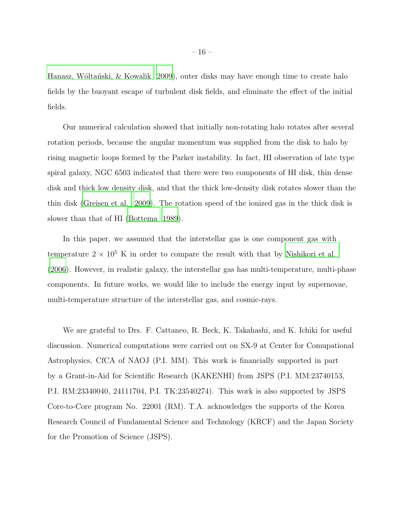Hanasz, Wóltański,  $\&$  Kowalik 2009), outer disks may have enough time to create halo fields by the buoyant escape of turbulent disk fields, and eliminate the effect of the initial fields.

Our numerical calculation showed that initially non-rotating halo rotates after several rotation periods, because the angular momentum was supplied from the disk to halo by rising magnetic loops formed by the Parker instability. In fact, HI observation of late type spiral galaxy, NGC 6503 indicated that there were two components of HI disk, thin dense disk and thick low density disk, and that the thick low-density disk rotates slower than the thin disk [\(Greisen et al. 2009\)](#page-17-13). The rotation speed of the ionized gas in the thick disk is slower than that of HI [\(Bottema 1989\)](#page-17-14).

In this paper, we assumed that the interstellar gas is one component gas with temperature  $2 \times 10^5$  K in order to compare the result with that by [Nishikori et al.](#page-18-6) [\(2006\)](#page-18-6). However, in realistic galaxy, the interstellar gas has multi-temperature, multi-phase components. In future works, we would like to include the energy input by supernovae, multi-temperature structure of the interstellar gas, and cosmic-rays.

We are grateful to Drs. F. Cattaneo, R. Beck, K. Takahashi, and K. Ichiki for useful discussion. Numerical computations were carried out on SX-9 at Center for Comupational Astrophysics, CfCA of NAOJ (P.I. MM). This work is financially supported in part by a Grant-in-Aid for Scientific Research (KAKENHI) from JSPS (P.I. MM:23740153, P.I. RM:23340040, 24111704, P.I. TK:23540274). This work is also supported by JSPS Core-to-Core program No. 22001 (RM). T.A. acknowledges the supports of the Korea Research Council of Fundamental Science and Technology (KRCF) and the Japan Society for the Promotion of Science (JSPS).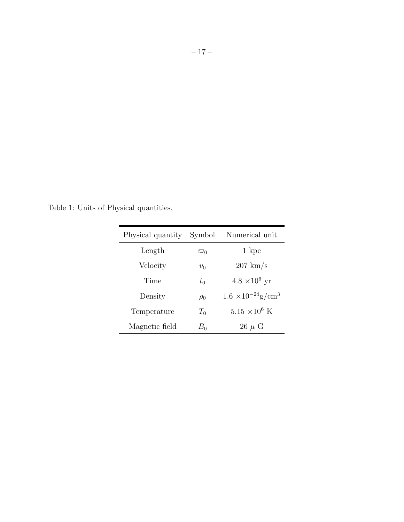Table 1: Units of Physical quantities.

| Physical quantity | Symbol     | Numerical unit                          |
|-------------------|------------|-----------------------------------------|
| Length            | $\varpi_0$ | 1 kpc                                   |
| Velocity          | $v_0$      | $207 \text{ km/s}$                      |
| Time              | $t_{0}$    | $4.8 \times 10^6$ yr                    |
| Density           | $\rho_0$   | $1.6 \times 10^{-24}$ g/cm <sup>3</sup> |
| Temperature       | $T_0$      | $5.15 \times 10^6$ K                    |
| Magnetic field    | $B_0$      | $26 \mu G$                              |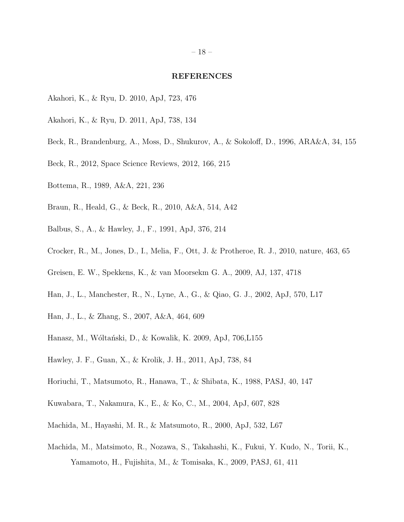#### REFERENCES

- Akahori, K., & Ryu, D. 2010, ApJ, 723, 476
- Akahori, K., & Ryu, D. 2011, ApJ, 738, 134
- <span id="page-17-0"></span>Beck, R., Brandenburg, A., Moss, D., Shukurov, A., & Sokoloff, D., 1996, ARA&A, 34, 155
- <span id="page-17-4"></span>Beck, R., 2012, Space Science Reviews, 2012, 166, 215
- <span id="page-17-14"></span>Bottema, R., 1989, A&A, 221, 236
- <span id="page-17-10"></span>Braun, R., Heald, G., & Beck, R., 2010, A&A, 514, A42
- <span id="page-17-5"></span>Balbus, S., A., & Hawley, J., F., 1991, ApJ, 376, 214
- <span id="page-17-1"></span>Crocker, R., M., Jones, D., I., Melia, F., Ott, J. & Protheroe, R. J., 2010, nature, 463, 65
- <span id="page-17-13"></span>Greisen, E. W., Spekkens, K., & van Moorsekm G. A., 2009, AJ, 137, 4718
- <span id="page-17-2"></span>Han, J., L., Manchester, R., N., Lyne, A., G., & Qiao, G. J., 2002, ApJ, 570, L17
- <span id="page-17-3"></span>Han, J., L., & Zhang, S., 2007, A&A, 464, 609
- <span id="page-17-12"></span>Hanasz, M., Wóltański, D., & Kowalik, K. 2009, ApJ, 706,L155
- <span id="page-17-9"></span>Hawley, J. F., Guan, X., & Krolik, J. H., 2011, ApJ, 738, 84
- <span id="page-17-6"></span>Horiuchi, T., Matsumoto, R., Hanawa, T., & Shibata, K., 1988, PASJ, 40, 147
- <span id="page-17-11"></span>Kuwabara, T., Nakamura, K., E., & Ko, C., M., 2004, ApJ, 607, 828
- <span id="page-17-7"></span>Machida, M., Hayashi, M. R., & Matsumoto, R., 2000, ApJ, 532, L67
- <span id="page-17-8"></span>Machida, M., Matsimoto, R., Nozawa, S., Takahashi, K., Fukui, Y. Kudo, N., Torii, K., Yamamoto, H., Fujishita, M., & Tomisaka, K., 2009, PASJ, 61, 411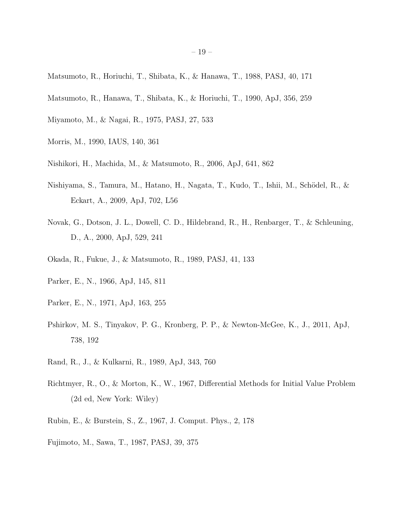- <span id="page-18-9"></span>Matsumoto, R., Horiuchi, T., Shibata, K., & Hanawa, T., 1988, PASJ, 40, 171
- <span id="page-18-10"></span>Matsumoto, R., Hanawa, T., Shibata, K., & Horiuchi, T., 1990, ApJ, 356, 259
- Miyamoto, M., & Nagai, R., 1975, PASJ, 27, 533
- <span id="page-18-1"></span>Morris, M., 1990, IAUS, 140, 361
- <span id="page-18-6"></span>Nishikori, H., Machida, M., & Matsumoto, R., 2006, ApJ, 641, 862
- <span id="page-18-3"></span>Nishiyama, S., Tamura, M., Hatano, H., Nagata, T., Kudo, T., Ishii, M., Schödel, R., & Eckart, A., 2009, ApJ, 702, L56
- <span id="page-18-2"></span>Novak, G., Dotson, J. L., Dowell, C. D., Hildebrand, R., H., Renbarger, T., & Schleuning, D., A., 2000, ApJ, 529, 241
- <span id="page-18-7"></span>Okada, R., Fukue, J., & Matsumoto, R., 1989, PASJ, 41, 133
- <span id="page-18-8"></span>Parker, E., N., 1966, ApJ, 145, 811
- <span id="page-18-4"></span>Parker, E., N., 1971, ApJ, 163, 255
- Pshirkov, M. S., Tinyakov, P. G., Kronberg, P. P., & Newton-McGee, K., J., 2011, ApJ, 738, 192
- <span id="page-18-0"></span>Rand, R., J., & Kulkarni, R., 1989, ApJ, 343, 760
- Richtmyer, R., O., & Morton, K., W., 1967, Differential Methods for Initial Value Problem (2d ed, New York: Wiley)
- Rubin, E., & Burstein, S., Z., 1967, J. Comput. Phys., 2, 178
- <span id="page-18-5"></span>Fujimoto, M., Sawa, T., 1987, PASJ, 39, 375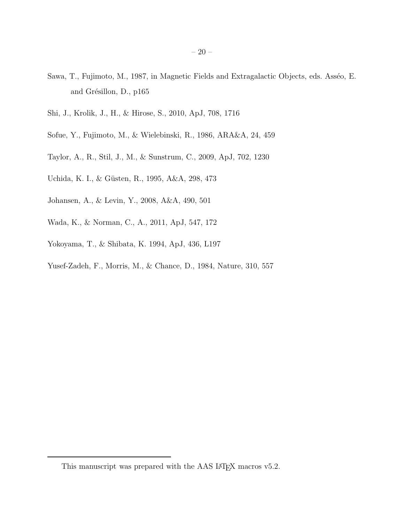- <span id="page-19-3"></span>Sawa, T., Fujimoto, M., 1987, in Magnetic Fields and Extragalactic Objects, eds. Asséo, E. and Grésillon, D., p165
- <span id="page-19-4"></span>Shi, J., Krolik, J., H., & Hirose, S., 2010, ApJ, 708, 1716
- <span id="page-19-0"></span>Sofue, Y., Fujimoto, M., & Wielebinski, R., 1986, ARA&A, 24, 459
- <span id="page-19-2"></span>Taylor, A., R., Stil, J., M., & Sunstrum, C., 2009, ApJ, 702, 1230
- Uchida, K. I., & Güsten, R., 1995, A&A, 298, 473
- <span id="page-19-5"></span>Johansen, A., & Levin, Y., 2008, A&A, 490, 501
- <span id="page-19-6"></span>Wada, K., & Norman, C., A., 2011, ApJ, 547, 172
- Yokoyama, T., & Shibata, K. 1994, ApJ, 436, L197
- <span id="page-19-1"></span>Yusef-Zadeh, F., Morris, M., & Chance, D., 1984, Nature, 310, 557

This manuscript was prepared with the AAS IAT<sub>E</sub>X macros v5.2.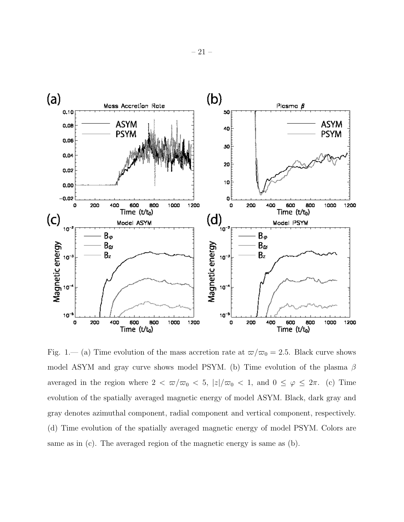

<span id="page-20-0"></span>Fig. 1.— (a) Time evolution of the mass accretion rate at  $\omega/\omega_0 = 2.5$ . Black curve shows model ASYM and gray curve shows model PSYM. (b) Time evolution of the plasma  $\beta$ averaged in the region where  $2 < \frac{\varpi}{\varpi_0} < 5$ ,  $|z|/\varpi_0 < 1$ , and  $0 \le \varphi \le 2\pi$ . (c) Time evolution of the spatially averaged magnetic energy of model ASYM. Black, dark gray and gray denotes azimuthal component, radial component and vertical component, respectively. (d) Time evolution of the spatially averaged magnetic energy of model PSYM. Colors are same as in (c). The averaged region of the magnetic energy is same as (b).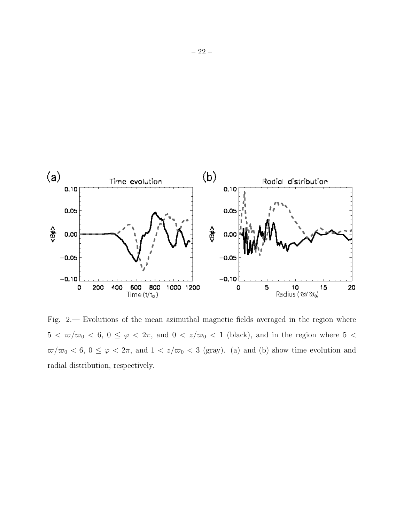

<span id="page-21-0"></span>Fig. 2.— Evolutions of the mean azimuthal magnetic fields averaged in the region where  $5 < \frac{\pi}{\pi_0} < 6, 0 \leq \varphi < 2\pi$ , and  $0 < \frac{z}{\pi_0} < 1$  (black), and in the region where  $5 <$  $\varpi/\varpi_0$  < 6,  $0 \le \varphi$  <  $2\pi$ , and  $1 < z/\varpi_0$  < 3 (gray). (a) and (b) show time evolution and radial distribution, respectively.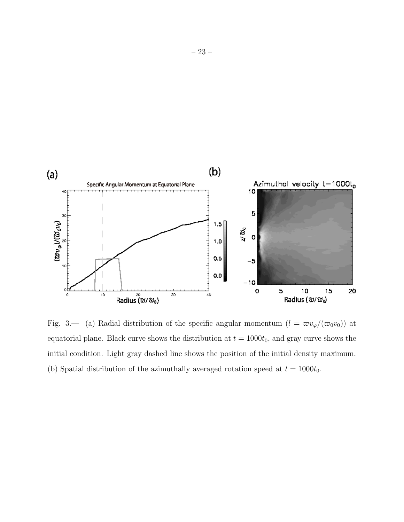

<span id="page-22-0"></span>Fig. 3.— (a) Radial distribution of the specific angular momentum  $(l = \frac{\pi v_{\varphi}}{(\pi_0 v_0)})$  at equatorial plane. Black curve shows the distribution at  $t = 1000t_0$ , and gray curve shows the initial condition. Light gray dashed line shows the position of the initial density maximum. (b) Spatial distribution of the azimuthally averaged rotation speed at  $t = 1000t_0$ .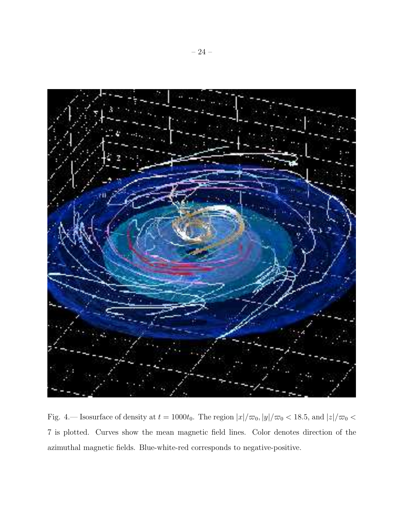<span id="page-23-0"></span>

Fig. 4.— Isosurface of density at  $t=1000t_0$ . The region  $|x|/\varpi_0$ ,  $|y|/\varpi_0$  < 18.5, and  $|z|/\varpi_0$  < 7 is plotted. Curves show the mean magnetic field lines. Color denotes direction of the azimuthal magnetic fields. Blue-white-red corresponds to negative-positive.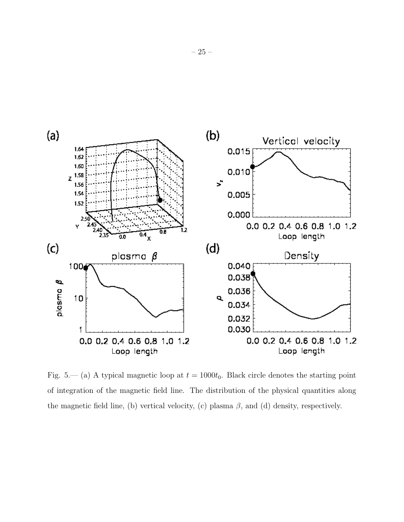

<span id="page-24-0"></span>Fig. 5.— (a) A typical magnetic loop at  $t = 1000t_0$ . Black circle denotes the starting point of integration of the magnetic field line. The distribution of the physical quantities along the magnetic field line, (b) vertical velocity, (c) plasma  $\beta$ , and (d) density, respectively.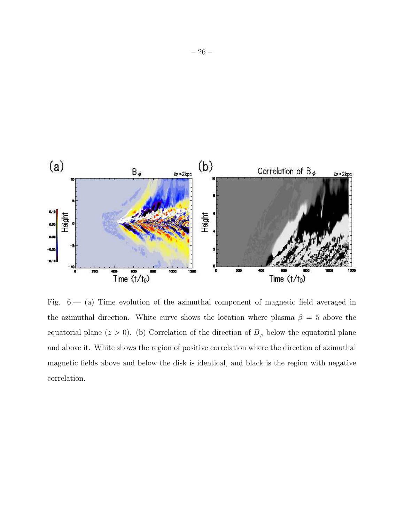

<span id="page-25-0"></span>Fig. 6.— (a) Time evolution of the azimuthal component of magnetic field averaged in the azimuthal direction. White curve shows the location where plasma  $\beta = 5$  above the equatorial plane ( $z > 0$ ). (b) Correlation of the direction of  $B_{\varphi}$  below the equatorial plane and above it. White shows the region of positive correlation where the direction of azimuthal magnetic fields above and below the disk is identical, and black is the region with negative correlation.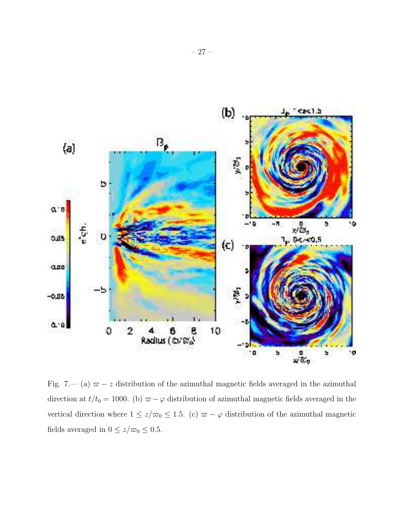

<span id="page-26-0"></span>Fig. 7.— (a)  $\varpi - z$  distribution of the azimuthal magnetic fields averaged in the azimuthal direction at  $t/t_0 = 1000$ . (b)  $\varpi - \varphi$  distribution of azimuthal magnetic fields averaged in the vertical direction where  $1 \le z/\varpi_0 \le 1.5$ . (c)  $\varpi - \varphi$  distribution of the azimuthal magnetic fields averaged in  $0 \le z/\varpi_0 \le 0.5$ .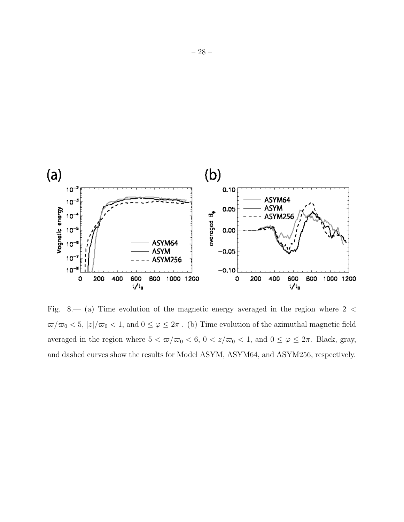

<span id="page-27-0"></span>Fig. 8.— (a) Time evolution of the magnetic energy averaged in the region where 2 <  $\varpi/\varpi_0<5,$   $|z|/\varpi_0<1,$  and  $0\leq\varphi\leq2\pi$  . (b) Time evolution of the azimuthal magnetic field averaged in the region where  $5 < \frac{\pi}{\infty}$   $< 6$ ,  $0 < \frac{z}{\infty}$   $< 1$ , and  $0 \le \varphi \le 2\pi$ . Black, gray, and dashed curves show the results for Model ASYM, ASYM64, and ASYM256, respectively.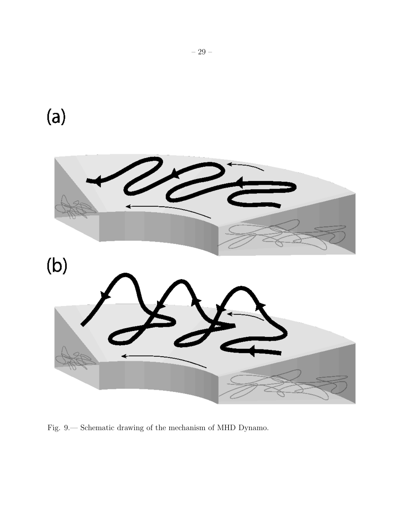<span id="page-28-0"></span>

Fig. 9.— Schematic drawing of the mechanism of MHD Dynamo.